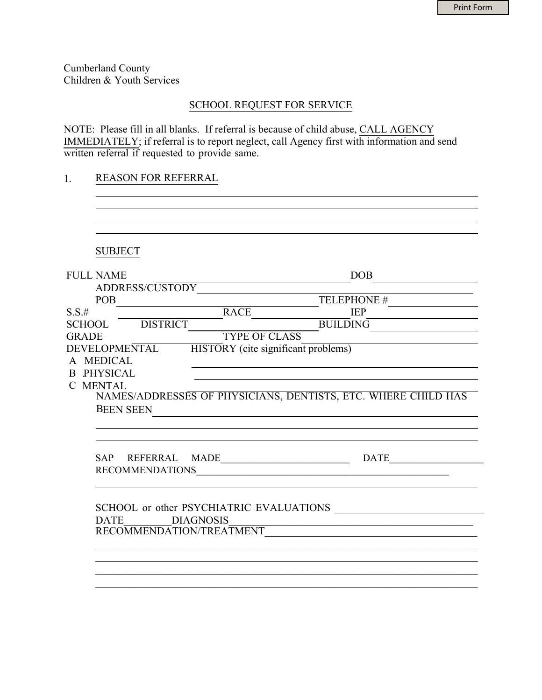Cumberland County Children & Youth Services

## SCHOOL REQUEST FOR SERVICE

NOTE: Please fill in all blanks. If referral is because of child abuse, CALL AGENCY IMMEDIATELY; if referral is to report neglect, call Agency first with information and send written referral if requested to provide same.

## 1. REASON FOR REFERRAL

| <b>SUBJECT</b>                  |                                                               |
|---------------------------------|---------------------------------------------------------------|
| <b>FULL NAME</b>                | DOB                                                           |
|                                 | ADDRESS/CUSTODY TELEPHONE #                                   |
|                                 |                                                               |
| $S.S.$ #                        | RACE<br><b>IEP</b>                                            |
| SCHOOL DISTRICT                 | <b>BUILDING</b>                                               |
| <b>GRADE</b>                    | <b>TYPE OF CLASS</b>                                          |
| DEVELOPMENTAL                   | HISTORY (cite significant problems)                           |
| A MEDICAL                       |                                                               |
| <b>B PHYSICAL</b>               | <u> 1989 - Johann Barbara, martxa alemaniar a</u>             |
| C MENTAL                        |                                                               |
|                                 | NAMES/ADDRESSES OF PHYSICIANS, DENTISTS, ETC. WHERE CHILD HAS |
| <b>BEEN SEEN</b>                |                                                               |
|                                 |                                                               |
|                                 |                                                               |
|                                 |                                                               |
|                                 |                                                               |
|                                 | RECOMMENDATIONS PERSONAL PROPERTY AND RECOMMENDATIONS         |
|                                 |                                                               |
|                                 |                                                               |
|                                 | SCHOOL or other PSYCHIATRIC EVALUATIONS                       |
| <b>DIAGNOSIS</b><br><b>DATE</b> | <u> 1989 - Johann Stein, fransk politiker (d. 1989)</u>       |
|                                 | RECOMMENDATION/TREATMENT                                      |
|                                 |                                                               |
|                                 |                                                               |
|                                 |                                                               |
|                                 |                                                               |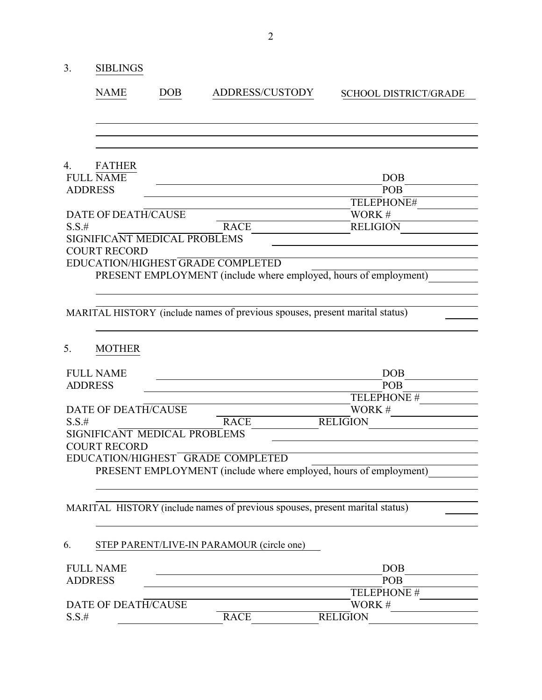| 3.       | <b>SIBLINGS</b>                                     |            |                                                                             |                              |  |
|----------|-----------------------------------------------------|------------|-----------------------------------------------------------------------------|------------------------------|--|
|          | <b>NAME</b>                                         | <b>DOB</b> | <b>ADDRESS/CUSTODY</b>                                                      | <b>SCHOOL DISTRICT/GRADE</b> |  |
|          |                                                     |            |                                                                             |                              |  |
|          |                                                     |            |                                                                             |                              |  |
| 4.       | <b>FATHER</b><br><b>FULL NAME</b>                   |            |                                                                             | <b>DOB</b>                   |  |
|          | <b>ADDRESS</b>                                      |            |                                                                             | POB                          |  |
|          |                                                     |            |                                                                             | TELEPHONE#                   |  |
|          | DATE OF DEATH/CAUSE                                 |            |                                                                             | WORK#                        |  |
| $S.S.$ # |                                                     |            | <b>RACE</b>                                                                 | <b>RELIGION</b>              |  |
|          | SIGNIFICANT MEDICAL PROBLEMS<br><b>COURT RECORD</b> |            |                                                                             |                              |  |
|          |                                                     |            | EDUCATION/HIGHEST GRADE COMPLETED                                           |                              |  |
|          |                                                     |            | PRESENT EMPLOYMENT (include where employed, hours of employment)            |                              |  |
|          |                                                     |            |                                                                             |                              |  |
|          |                                                     |            | MARITAL HISTORY (include names of previous spouses, present marital status) |                              |  |
|          |                                                     |            |                                                                             |                              |  |
| 5.       | <b>MOTHER</b>                                       |            |                                                                             |                              |  |
|          | <b>FULL NAME</b>                                    |            |                                                                             | <b>DOB</b>                   |  |
|          | <b>ADDRESS</b>                                      |            |                                                                             | POB                          |  |
|          |                                                     |            |                                                                             | TELEPHONE #                  |  |
|          | DATE OF DEATH/CAUSE                                 |            |                                                                             | WORK#                        |  |
| $S.S.$ # |                                                     |            | <b>RACE</b>                                                                 | <b>RELIGION</b>              |  |
|          | SIGNIFICANT MEDICAL PROBLEMS                        |            |                                                                             |                              |  |
|          | <b>COURT RECORD</b>                                 |            |                                                                             |                              |  |
|          |                                                     |            | EDUCATION/HIGHEST GRADE COMPLETED                                           |                              |  |
|          |                                                     |            | PRESENT EMPLOYMENT (include where employed, hours of employment)            |                              |  |
|          |                                                     |            | MARITAL HISTORY (include names of previous spouses, present marital status) |                              |  |
|          |                                                     |            |                                                                             |                              |  |
| 6.       |                                                     |            | STEP PARENT/LIVE-IN PARAMOUR (circle one)                                   |                              |  |
|          | <b>FULL NAME</b>                                    |            |                                                                             | <b>DOB</b>                   |  |
|          | <b>ADDRESS</b>                                      |            |                                                                             | <b>POB</b>                   |  |
|          |                                                     |            |                                                                             | TELEPHONE #                  |  |
|          | DATE OF DEATH/CAUSE                                 |            |                                                                             | WORK#                        |  |
| $S.S.$ # |                                                     |            | <b>RACE</b>                                                                 | <b>RELIGION</b>              |  |
|          |                                                     |            |                                                                             |                              |  |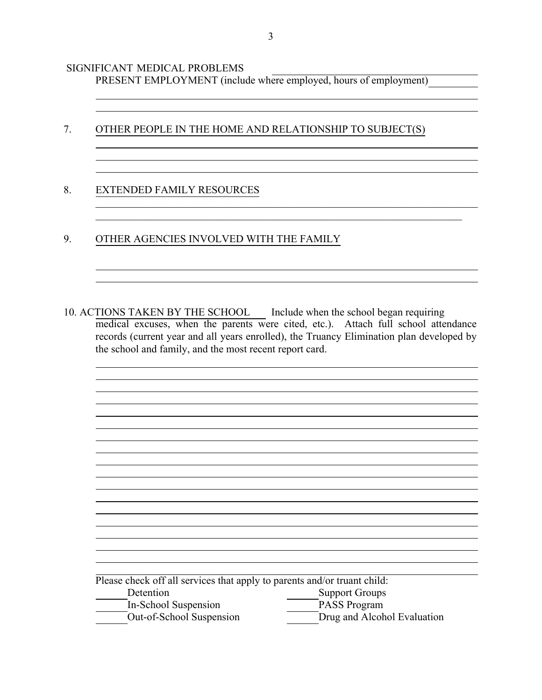SIGNIFICANT MEDICAL PROBLEMS

PRESENT EMPLOYMENT (include where employed, hours of employment)

7. OTHER PEOPLE IN THE HOME AND RELATIONSHIP TO SUBJECT(S)

 $\_$  . The contribution of the contribution of  $\mathcal{L}_1$  ,  $\mathcal{L}_2$  ,  $\mathcal{L}_3$  ,  $\mathcal{L}_4$  ,  $\mathcal{L}_5$  ,  $\mathcal{L}_6$  ,  $\mathcal{L}_7$  ,  $\mathcal{L}_8$  ,  $\mathcal{L}_9$  ,  $\mathcal{L}_9$  ,  $\mathcal{L}_8$  ,  $\mathcal{L}_9$  ,  $\mathcal{L}_9$  ,  $\mathcal{L}_8$  ,  $\mathcal{L}_$ 

## 8. EXTENDED FAMILY RESOURCES

9. OTHER AGENCIES INVOLVED WITH THE FAMILY

10. ACTIONS TAKEN BY THE SCHOOL Include when the school began requiring medical excuses, when the parents were cited, etc.). Attach full school attendance records (current year and all years enrolled), the Truancy Elimination plan developed by the school and family, and the most recent report card.

\_\_\_\_\_\_\_\_\_\_\_\_\_\_\_\_\_\_\_\_\_\_\_\_\_\_\_\_\_\_\_\_\_\_\_\_\_\_\_\_\_\_\_\_\_\_\_\_\_\_\_\_\_\_\_\_\_\_\_\_\_\_\_\_\_\_\_\_\_

| Please check off all services that apply to parents and/or truant child: |                             |  |
|--------------------------------------------------------------------------|-----------------------------|--|
| Detention                                                                | <b>Support Groups</b>       |  |
| In-School Suspension                                                     | <b>PASS Program</b>         |  |
| Out-of-School Suspension                                                 | Drug and Alcohol Evaluation |  |